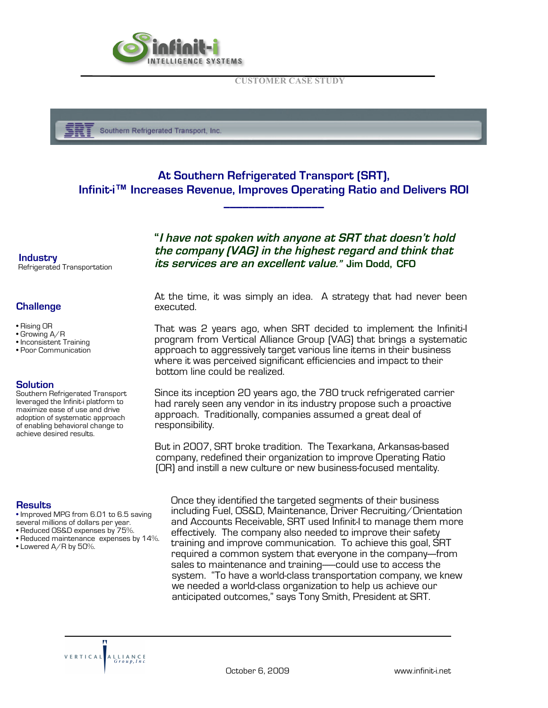

**CUSTOMER CASE STUDY**



# **At Southern Refrigerated Transport (SRT), Infinit-i™ Increases Revenue, Improves Operating Ratio and Delivers ROI**

**\_\_\_\_\_\_\_\_\_\_\_\_\_\_\_\_**

**Industry Industry**  Refrigerated Transportation

## **Challenge**

- Rising OR
- Growing A/R
- Inconsistent Training
- Poor Communication

### **Solution**

Southern Refrigerated Transport leveraged the Infinit-i platform to maximize ease of use and drive adoption of systematic approach of enabling behavioral change to achieve desired results.

#### **Results**

- Improved MPG from 6.01 to 6.5 saving
- 
- Reduced OS&D expenses by 75%. • Reduced maintenance expenses by 14%.
- Lowered A/R by 50%.

 **"I have not spoken with anyone at SRT that doesn't hold the company (VAG) in the highest regard and think that its services are an excellent value." Jim Dodd, CFO**

At the time, it was simply an idea. A strategy that had never been executed.

That was 2 years ago, when SRT decided to implement the Infiniti-I program from Vertical Alliance Group (VAG) that brings a systematic approach to aggressively target various line items in their business where it was perceived significant efficiencies and impact to their bottom line could be realized.

 Since its inception 20 years ago, the 780 truck refrigerated carrier had rarely seen any vendor in its industry propose such a proactive approach. Traditionally, companies assumed a great deal of responsibility.

 But in 2007, SRT broke tradition. The Texarkana, Arkansas-based company, redefined their organization to improve Operating Ratio (OR) and instill a new culture or new business-focused mentality.

Once they identified the targeted segments of their business including Fuel, OS&D, Maintenance, Driver Recruiting/Orientation and Accounts Receivable, SRT used Infinit-I to manage them more effectively. The company also needed to improve their safety training and improve communication. To achieve this goal, SRT required a common system that everyone in the company---from sales to maintenance and training----could use to access the system. "To have a world-class transportation company, we knew we needed a world-class organization to help us achieve our anticipated outcomes," says Tony Smith, President at SRT.

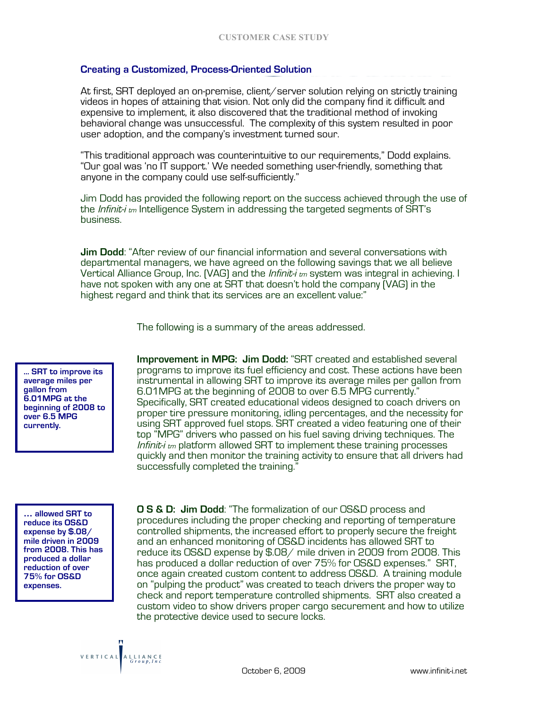## **Creating a Customized, Process-Oriented Solution**

At first, SRT deployed an on-premise, client/server solution relying on strictly training videos in hopes of attaining that vision. Not only did the company find it difficult and expensive to implement, it also discovered that the traditional method of invoking behavioral change was unsuccessful. The complexity of this system resulted in poor user adoption, and the company's investment turned sour.

"This traditional approach was counterintuitive to our requirements," Dodd explains. "Our goal was 'no IT support.' We needed something user-friendly, something that anyone in the company could use self-sufficiently."

Jim Dodd has provided the following report on the success achieved through the use of the *Infinit-i <sub>tm</sub>* Intelligence System in addressing the targeted segments of SRT's business.

**Jim Dodd**: "After review of our financial information and several conversations with departmental managers, we have agreed on the following savings that we all believe Vertical Alliance Group, Inc. (VAG) and the *Infinit-i tm* system was integral in achieving. I have not spoken with any one at SRT that doesn't hold the company (VAG) in the highest regard and think that its services are an excellent value:"

The following is a summary of the areas addressed.

**… SRT to improve its average miles per gallon from 6.01MPG at the beginning of 2008 to over 6.5 MPG currently.**

**Improvement in MPG: Jim Dodd:** "SRT created and established several programs to improve its fuel efficiency and cost. These actions have been instrumental in allowing SRT to improve its average miles per gallon from Specifically, SRT created educational videos designed to coach drivers on proper tire pressure monitoring, idling percentages, and the necessity for using SRT approved fuel stops. SRT created a video featuring one of their top "MPG" drivers who passed on his fuel saving driving techniques. The Infinit- $i$ <sub>tm</sub> platform allowed SRT to implement these training processes quickly and then monitor the training activity to ensure that all drivers had successfully completed the training."

**… allowed SRT to reduce its OS&D expense by \$.08/ mile driven in 2009 from 2008. This has produced a dollar reduction of over 75% for OS&D expenses.**

**O S & D: Jim Dodd**: "The formalization of our OS&D process and procedures including the proper checking and reporting of temperature controlled shipments, the increased effort to properly secure the freight and an enhanced monitoring of OS&D incidents has allowed SRT to reduce its OS&D expense by \$.08/ mile driven in 2009 from 2008. This has produced a dollar reduction of over 75% for OS&D expenses." SRT, once again created custom content to address OS&D. A training module on "pulping the product" was created to teach drivers the proper way to check and report temperature controlled shipments. SRT also created a custom video to show drivers proper cargo securement and how to utilize the protective device used to secure locks.